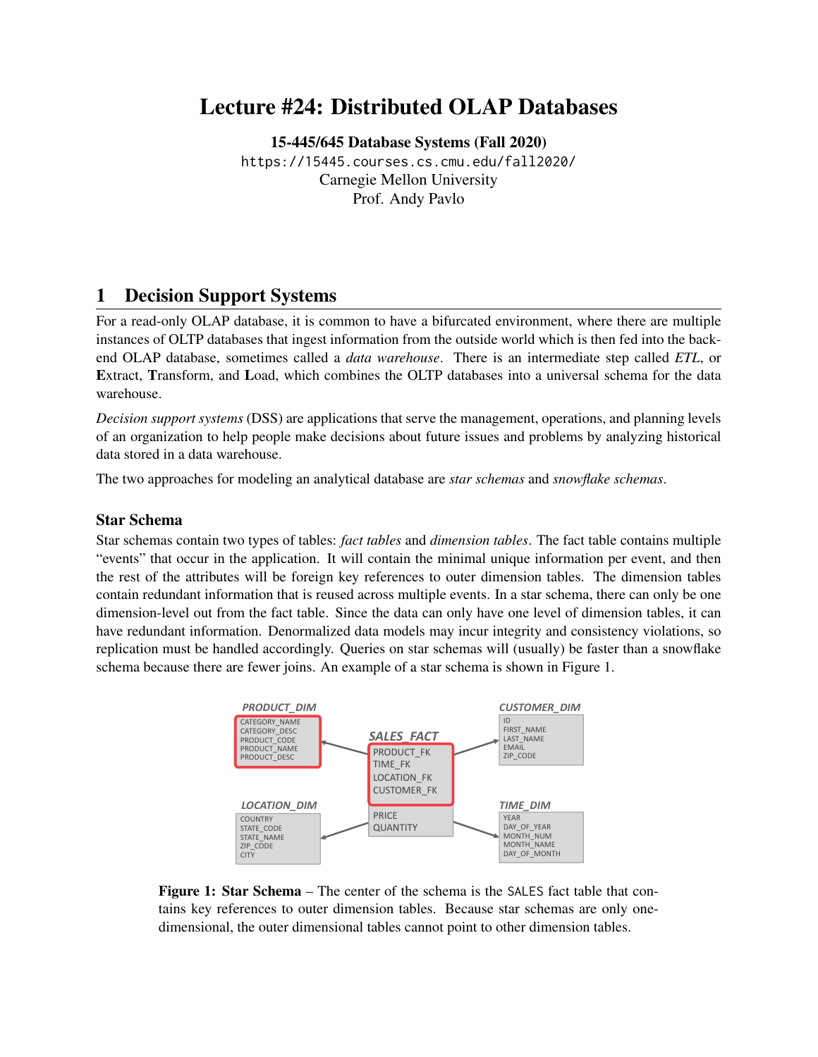# Lecture #24: Distributed OLAP Databases

[15-445/645 Database Systems \(Fall 2020\)](https://15445.courses.cs.cmu.edu/fall2020/) <https://15445.courses.cs.cmu.edu/fall2020/> Carnegie Mellon University [Prof. Andy Pavlo](http://www.cs.cmu.edu/~pavlo/)

# 1 Decision Support Systems

For a read-only OLAP database, it is common to have a bifurcated environment, where there are multiple instances of OLTP databases that ingest information from the outside world which is then fed into the backend OLAP database, sometimes called a *data warehouse*. There is an intermediate step called *ETL*, or Extract, Transform, and Load, which combines the OLTP databases into a universal schema for the data warehouse.

*Decision support systems* (DSS) are applications that serve the management, operations, and planning levels of an organization to help people make decisions about future issues and problems by analyzing historical data stored in a data warehouse.

The two approaches for modeling an analytical database are *star schemas* and *snowflake schemas*.

#### Star Schema

Star schemas contain two types of tables: *fact tables* and *dimension tables*. The fact table contains multiple "events" that occur in the application. It will contain the minimal unique information per event, and then the rest of the attributes will be foreign key references to outer dimension tables. The dimension tables contain redundant information that is reused across multiple events. In a star schema, there can only be one dimension-level out from the fact table. Since the data can only have one level of dimension tables, it can have redundant information. Denormalized data models may incur integrity and consistency violations, so replication must be handled accordingly. Queries on star schemas will (usually) be faster than a snowflake schema because there are fewer joins. An example of a star schema is shown in [Figure 1.](#page-0-0)

<span id="page-0-0"></span>

Figure 1: Star Schema – The center of the schema is the SALES fact table that contains key references to outer dimension tables. Because star schemas are only onedimensional, the outer dimensional tables cannot point to other dimension tables.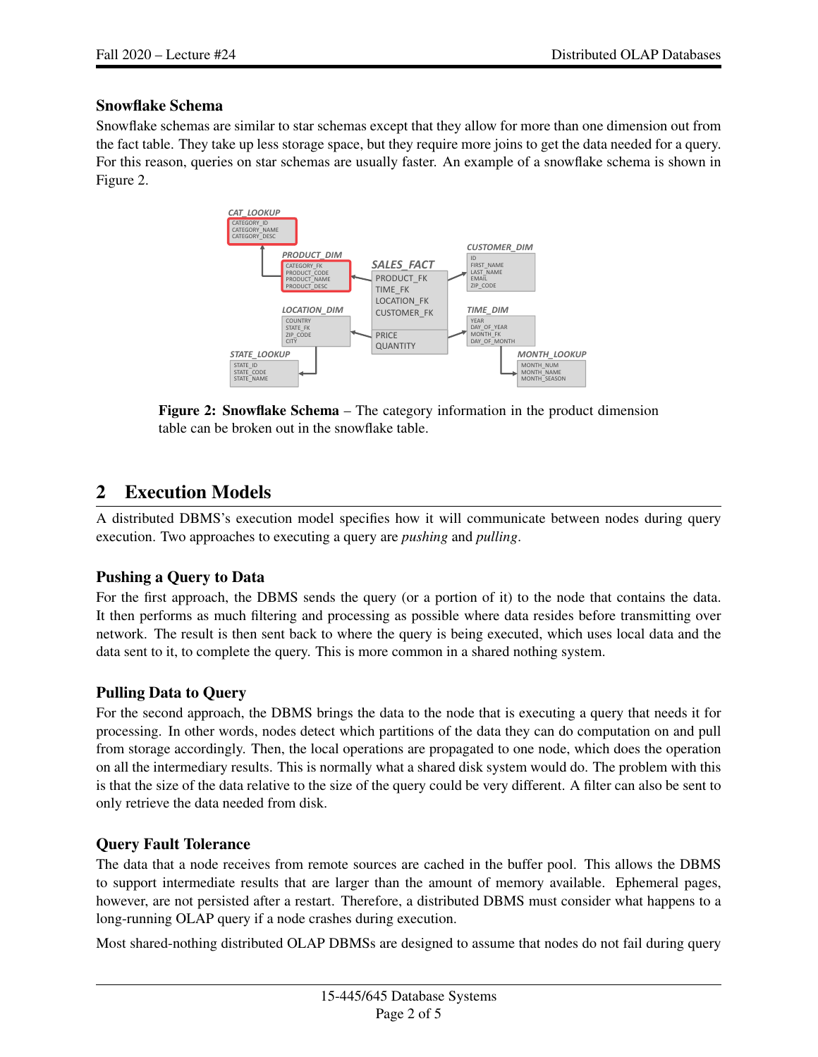#### Snowflake Schema

<span id="page-1-0"></span>Snowflake schemas are similar to star schemas except that they allow for more than one dimension out from the fact table. They take up less storage space, but they require more joins to get the data needed for a query. For this reason, queries on star schemas are usually faster. An example of a snowflake schema is shown in [Figure 2.](#page-1-0)



Figure 2: Snowflake Schema – The category information in the product dimension table can be broken out in the snowflake table.

# 2 Execution Models

A distributed DBMS's execution model specifies how it will communicate between nodes during query execution. Two approaches to executing a query are *pushing* and *pulling*.

## Pushing a Query to Data

For the first approach, the DBMS sends the query (or a portion of it) to the node that contains the data. It then performs as much filtering and processing as possible where data resides before transmitting over network. The result is then sent back to where the query is being executed, which uses local data and the data sent to it, to complete the query. This is more common in a shared nothing system.

## Pulling Data to Query

For the second approach, the DBMS brings the data to the node that is executing a query that needs it for processing. In other words, nodes detect which partitions of the data they can do computation on and pull from storage accordingly. Then, the local operations are propagated to one node, which does the operation on all the intermediary results. This is normally what a shared disk system would do. The problem with this is that the size of the data relative to the size of the query could be very different. A filter can also be sent to only retrieve the data needed from disk.

## Query Fault Tolerance

The data that a node receives from remote sources are cached in the buffer pool. This allows the DBMS to support intermediate results that are larger than the amount of memory available. Ephemeral pages, however, are not persisted after a restart. Therefore, a distributed DBMS must consider what happens to a long-running OLAP query if a node crashes during execution.

Most shared-nothing distributed OLAP DBMSs are designed to assume that nodes do not fail during query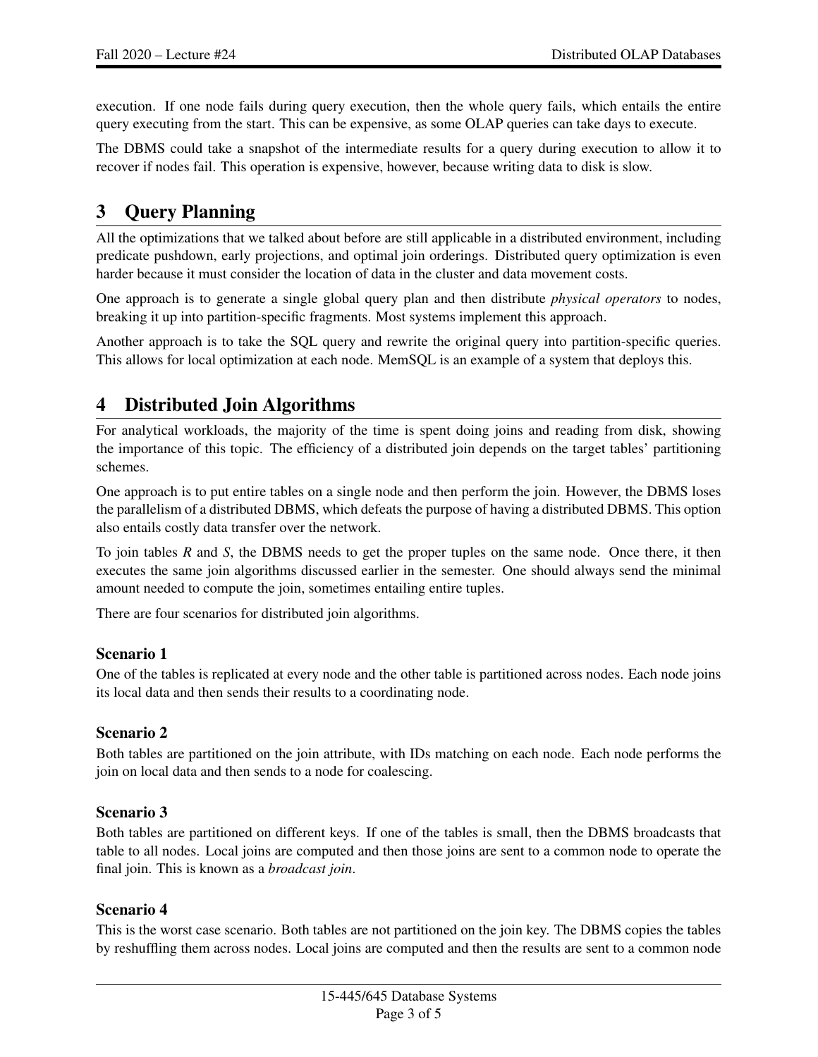execution. If one node fails during query execution, then the whole query fails, which entails the entire query executing from the start. This can be expensive, as some OLAP queries can take days to execute.

The DBMS could take a snapshot of the intermediate results for a query during execution to allow it to recover if nodes fail. This operation is expensive, however, because writing data to disk is slow.

# 3 Query Planning

All the optimizations that we talked about before are still applicable in a distributed environment, including predicate pushdown, early projections, and optimal join orderings. Distributed query optimization is even harder because it must consider the location of data in the cluster and data movement costs.

One approach is to generate a single global query plan and then distribute *physical operators* to nodes, breaking it up into partition-specific fragments. Most systems implement this approach.

Another approach is to take the SQL query and rewrite the original query into partition-specific queries. This allows for local optimization at each node. MemSQL is an example of a system that deploys this.

# 4 Distributed Join Algorithms

For analytical workloads, the majority of the time is spent doing joins and reading from disk, showing the importance of this topic. The efficiency of a distributed join depends on the target tables' partitioning schemes.

One approach is to put entire tables on a single node and then perform the join. However, the DBMS loses the parallelism of a distributed DBMS, which defeats the purpose of having a distributed DBMS. This option also entails costly data transfer over the network.

To join tables *R* and *S*, the DBMS needs to get the proper tuples on the same node. Once there, it then executes the same join algorithms discussed earlier in the semester. One should always send the minimal amount needed to compute the join, sometimes entailing entire tuples.

There are four scenarios for distributed join algorithms.

#### Scenario 1

One of the tables is replicated at every node and the other table is partitioned across nodes. Each node joins its local data and then sends their results to a coordinating node.

#### Scenario 2

Both tables are partitioned on the join attribute, with IDs matching on each node. Each node performs the join on local data and then sends to a node for coalescing.

## Scenario 3

Both tables are partitioned on different keys. If one of the tables is small, then the DBMS broadcasts that table to all nodes. Local joins are computed and then those joins are sent to a common node to operate the final join. This is known as a *broadcast join*.

#### Scenario 4

This is the worst case scenario. Both tables are not partitioned on the join key. The DBMS copies the tables by reshuffling them across nodes. Local joins are computed and then the results are sent to a common node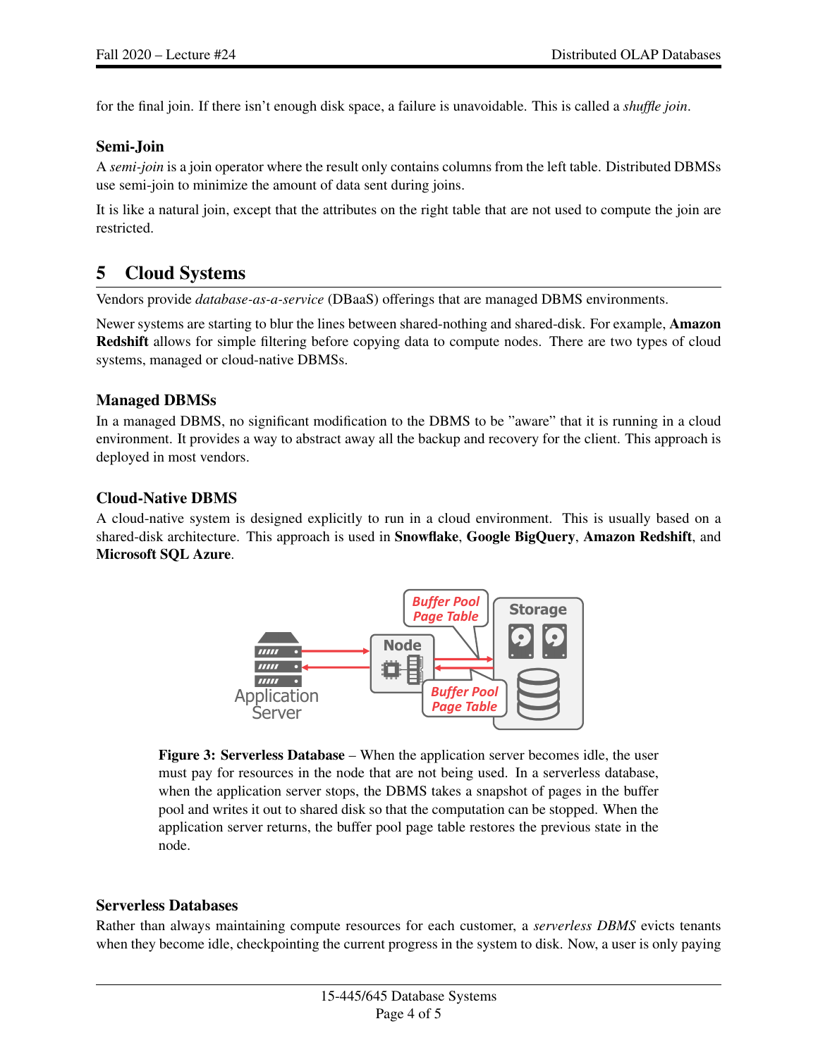for the final join. If there isn't enough disk space, a failure is unavoidable. This is called a *shuffle join*.

#### Semi-Join

A *semi-join* is a join operator where the result only contains columns from the left table. Distributed DBMSs use semi-join to minimize the amount of data sent during joins.

It is like a natural join, except that the attributes on the right table that are not used to compute the join are restricted.

# 5 Cloud Systems

Vendors provide *database-as-a-service* (DBaaS) offerings that are managed DBMS environments.

Newer systems are starting to blur the lines between shared-nothing and shared-disk. For example, **Amazon** Redshift allows for simple filtering before copying data to compute nodes. There are two types of cloud systems, managed or cloud-native DBMSs.

#### Managed DBMSs

In a managed DBMS, no significant modification to the DBMS to be "aware" that it is running in a cloud environment. It provides a way to abstract away all the backup and recovery for the client. This approach is deployed in most vendors.

## Cloud-Native DBMS

<span id="page-3-0"></span>A cloud-native system is designed explicitly to run in a cloud environment. This is usually based on a shared-disk architecture. This approach is used in **Snowflake, Google BigQuery, Amazon Redshift**, and Microsoft SQL Azure.



Figure 3: Serverless Database – When the application server becomes idle, the user must pay for resources in the node that are not being used. In a serverless database, when the application server stops, the DBMS takes a snapshot of pages in the buffer pool and writes it out to shared disk so that the computation can be stopped. When the application server returns, the buffer pool page table restores the previous state in the node.

#### Serverless Databases

Rather than always maintaining compute resources for each customer, a *serverless DBMS* evicts tenants when they become idle, checkpointing the current progress in the system to disk. Now, a user is only paying